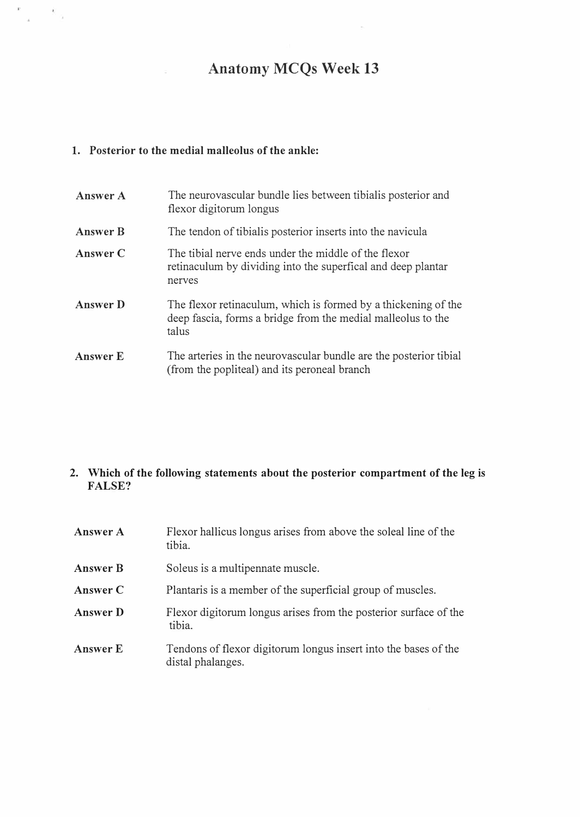# Anatomy MCQs Week 13

## 1. Posterior to the medial malleolus of the ankle:

 $\frac{1}{\pi}$  ,  $\frac{1}{\pi}$  ,  $\frac{1}{2}$ 

| Answer A        | The neurovascular bundle lies between tibialis posterior and<br>flexor digitorum longus                                                 |
|-----------------|-----------------------------------------------------------------------------------------------------------------------------------------|
| <b>Answer B</b> | The tendon of tibialis posterior inserts into the navicula                                                                              |
| Answer C        | The tibial nerve ends under the middle of the flexor<br>retinaculum by dividing into the superfical and deep plantar<br>nerves          |
| <b>Answer</b> D | The flexor retinaculum, which is formed by a thickening of the<br>deep fascia, forms a bridge from the medial malleolus to the<br>talus |
| <b>Answer E</b> | The arteries in the neurovascular bundle are the posterior tibial<br>(from the popliteal) and its peroneal branch                       |

### 2. Which of the following statements about the posterior compartment of the leg is FALSE?

| Answer A        | Flexor hallicus longus arises from above the soleal line of the<br>tibia.            |
|-----------------|--------------------------------------------------------------------------------------|
| <b>Answer B</b> | Soleus is a multipennate muscle.                                                     |
| Answer C        | Plantaris is a member of the superficial group of muscles.                           |
| Answer D        | Flexor digitorum longus arises from the posterior surface of the<br>tibia.           |
| <b>Answer E</b> | Tendons of flexor digitorum longus insert into the bases of the<br>distal phalanges. |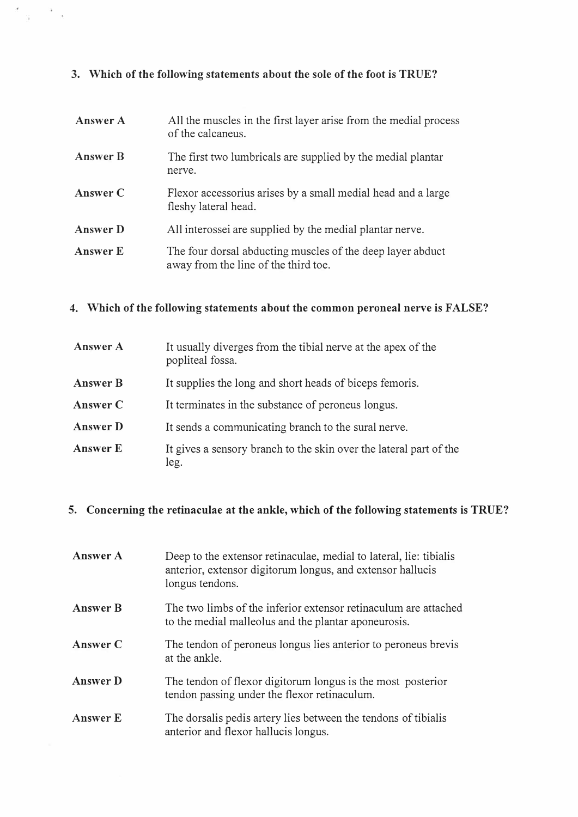### 3. Which of the following statements about the sole of the foot is TRUE?

| Answer A        | All the muscles in the first layer arise from the medial process<br>of the calcaneus.              |
|-----------------|----------------------------------------------------------------------------------------------------|
| <b>Answer B</b> | The first two lumbricals are supplied by the medial plantar<br>nerve.                              |
| Answer C        | Flexor accessorius arises by a small medial head and a large<br>fleshy lateral head.               |
| <b>Answer D</b> | All interossei are supplied by the medial plantar nerve.                                           |
| <b>Answer E</b> | The four dorsal abducting muscles of the deep layer abduct<br>away from the line of the third toe. |

### 4. Which of the following statements about the common peroneal nerve is FALSE?

| <b>Answer A</b> | It usually diverges from the tibial nerve at the apex of the<br>popliteal fossa. |
|-----------------|----------------------------------------------------------------------------------|
| <b>Answer B</b> | It supplies the long and short heads of biceps femoris.                          |
| Answer C        | It terminates in the substance of peroneus longus.                               |
| <b>Answer D</b> | It sends a communicating branch to the sural nerve.                              |
| Answer E        | It gives a sensory branch to the skin over the lateral part of the<br>leg.       |

### 5. Concerning the retinaculae at the ankle, which of the following statements is TRUE?

| Answer A        | Deep to the extensor retinaculae, medial to lateral, lie: tibialis<br>anterior, extensor digitorum longus, and extensor hallucis<br>longus tendons. |
|-----------------|-----------------------------------------------------------------------------------------------------------------------------------------------------|
| <b>Answer B</b> | The two limbs of the inferior extensor retinaculum are attached<br>to the medial malleolus and the plantar aponeurosis.                             |
| Answer C        | The tendon of peroneus longus lies anterior to peroneus brevis<br>at the ankle.                                                                     |
| <b>Answer</b> D | The tendon of flexor digitorum longus is the most posterior<br>tendon passing under the flexor retinaculum.                                         |
| <b>Answer E</b> | The dorsalis pedis artery lies between the tendons of tibialis<br>anterior and flexor hallucis longus.                                              |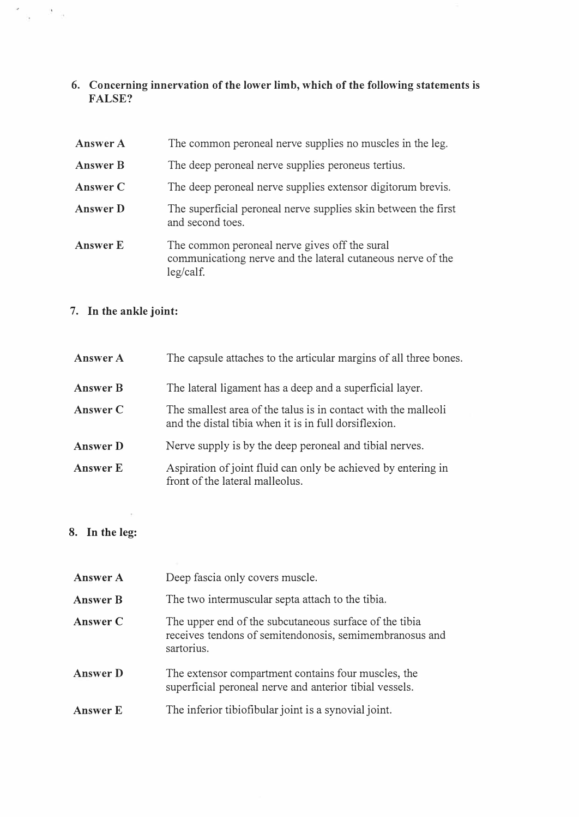6. Concerning innervation of the lower limb, which of the following statements is FALSE?

| Answer A        | The common peroneal nerve supplies no muscles in the leg.                                                                 |  |
|-----------------|---------------------------------------------------------------------------------------------------------------------------|--|
| <b>Answer B</b> | The deep peroneal nerve supplies peroneus tertius.                                                                        |  |
| Answer C        | The deep peroneal nerve supplies extensor digitorum brevis.                                                               |  |
| <b>Answer D</b> | The superficial peroneal nerve supplies skin between the first<br>and second toes.                                        |  |
| Answer E        | The common peroneal nerve gives off the sural<br>communicationg nerve and the lateral cutaneous nerve of the<br>leg/calf. |  |

# 7. In the ankle joint:

 $\sim$   $\sim$   $\sim$ 

| Answer A        | The capsule attaches to the articular margins of all three bones.                                                       |
|-----------------|-------------------------------------------------------------------------------------------------------------------------|
| <b>Answer B</b> | The lateral ligament has a deep and a superficial layer.                                                                |
| Answer C        | The smallest area of the talus is in contact with the malleoli<br>and the distal tibia when it is in full dorsiflexion. |
| <b>Answer</b> D | Nerve supply is by the deep peroneal and tibial nerves.                                                                 |
| <b>Answer</b> E | Aspiration of joint fluid can only be achieved by entering in<br>front of the lateral malleolus.                        |

## 8. In the leg:

| Answer A        | Deep fascia only covers muscle.                                                                                                 |
|-----------------|---------------------------------------------------------------------------------------------------------------------------------|
| <b>Answer B</b> | The two intermuscular septa attach to the tibia.                                                                                |
| Answer C        | The upper end of the subcutaneous surface of the tibia<br>receives tendons of semitendonosis, semimembranosus and<br>sartorius. |
| <b>Answer D</b> | The extensor compartment contains four muscles, the<br>superficial peroneal nerve and anterior tibial vessels.                  |
| <b>Answer E</b> | The inferior tibiofibular joint is a synovial joint.                                                                            |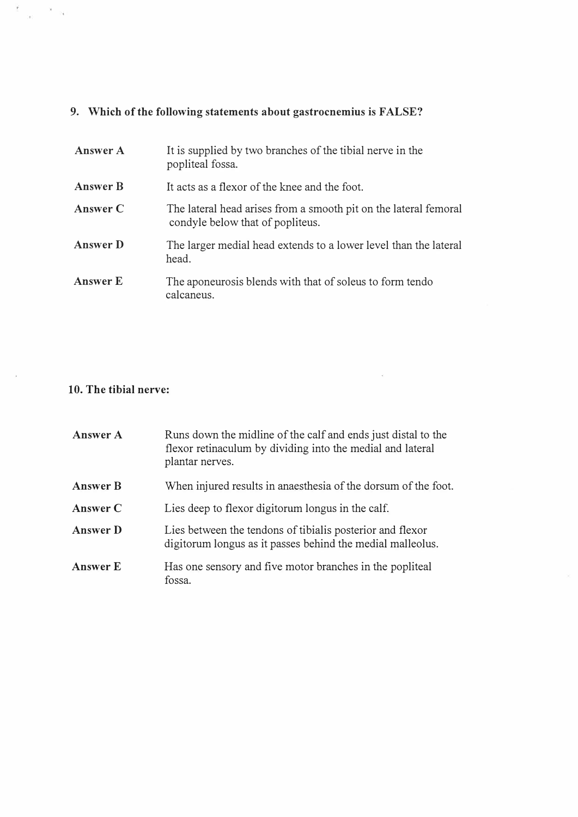# 9. Which of the following statements about gastrocnemius is FALSE?

| Answer A        | It is supplied by two branches of the tibial nerve in the<br>popliteal fossa.                        |
|-----------------|------------------------------------------------------------------------------------------------------|
| <b>Answer B</b> | It acts as a flexor of the knee and the foot.                                                        |
| Answer C        | The lateral head arises from a smooth pit on the lateral femoral<br>condyle below that of popliteus. |
| <b>Answer</b> D | The larger medial head extends to a lower level than the lateral<br>head.                            |
| <b>Answer E</b> | The aponeurosis blends with that of soleus to form tendo<br>calcaneus.                               |

## 10. The tibial nerve:

 $\widetilde{\mathcal{I}}$  ,  $\mathcal{R} = \mathcal{R}$ 

| <b>Answer A</b> | Runs down the midline of the calf and ends just distal to the<br>flexor retinaculum by dividing into the medial and lateral<br>plantar nerves. |
|-----------------|------------------------------------------------------------------------------------------------------------------------------------------------|
| <b>Answer B</b> | When injured results in anaesthesia of the dorsum of the foot.                                                                                 |
| Answer C        | Lies deep to flexor digitorum longus in the calf.                                                                                              |
| <b>Answer</b> D | Lies between the tendons of tibialis posterior and flexor<br>digitorum longus as it passes behind the medial malleolus.                        |
| <b>Answer E</b> | Has one sensory and five motor branches in the popliteal<br>fossa.                                                                             |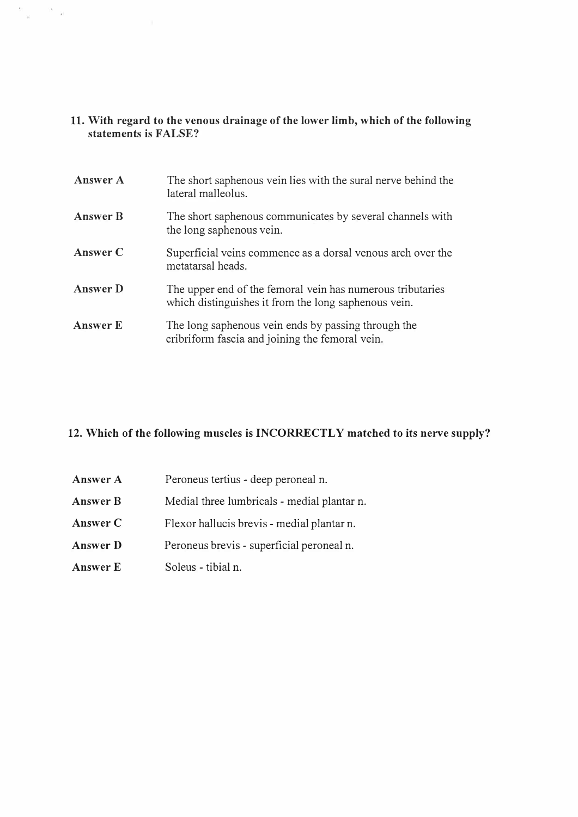### 11. With regard to the venous drainage of the lower limb, which of the following statements is FALSE?

 $\frac{\pi}{\pi} = -\pi_{-2}$ 

| <b>Answer A</b> | The short saphenous vein lies with the sural nerve behind the<br>lateral malleolus.                                |
|-----------------|--------------------------------------------------------------------------------------------------------------------|
| <b>Answer B</b> | The short saphenous communicates by several channels with<br>the long saphenous vein.                              |
| Answer C        | Superficial veins commence as a dorsal venous arch over the<br>metatarsal heads.                                   |
| <b>Answer D</b> | The upper end of the femoral vein has numerous tributaries<br>which distinguishes it from the long saphenous vein. |
| Answer E        | The long saphenous vein ends by passing through the<br>cribriform fascia and joining the femoral vein.             |

### 12. Which of the following muscles is INCORRECTLY matched to its nerve supply?

| Answer A        | Peroneus tertius - deep peroneal n.         |
|-----------------|---------------------------------------------|
| <b>Answer B</b> | Medial three lumbricals - medial plantar n. |
| Answer C        | Flexor hallucis brevis - medial plantar n.  |
| Answer D        | Peroneus brevis - superficial peroneal n.   |
| Answer E        | Soleus - tibial n.                          |